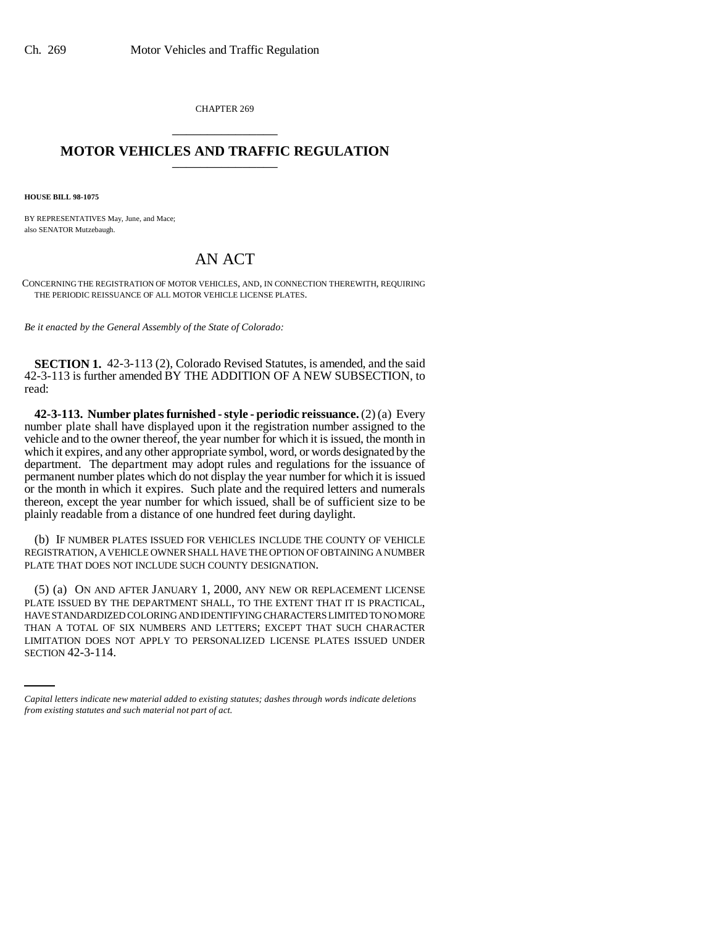CHAPTER 269 \_\_\_\_\_\_\_\_\_\_\_\_\_\_\_

## **MOTOR VEHICLES AND TRAFFIC REGULATION** \_\_\_\_\_\_\_\_\_\_\_\_\_\_\_

**HOUSE BILL 98-1075**

BY REPRESENTATIVES May, June, and Mace; also SENATOR Mutzebaugh.

## AN ACT

CONCERNING THE REGISTRATION OF MOTOR VEHICLES, AND, IN CONNECTION THEREWITH, REQUIRING THE PERIODIC REISSUANCE OF ALL MOTOR VEHICLE LICENSE PLATES.

*Be it enacted by the General Assembly of the State of Colorado:*

**SECTION 1.** 42-3-113 (2), Colorado Revised Statutes, is amended, and the said 42-3-113 is further amended BY THE ADDITION OF A NEW SUBSECTION, to read:

**42-3-113. Number plates furnished - style - periodic reissuance.** (2) (a) Every number plate shall have displayed upon it the registration number assigned to the vehicle and to the owner thereof, the year number for which it is issued, the month in which it expires, and any other appropriate symbol, word, or words designated by the department. The department may adopt rules and regulations for the issuance of permanent number plates which do not display the year number for which it is issued or the month in which it expires. Such plate and the required letters and numerals thereon, except the year number for which issued, shall be of sufficient size to be plainly readable from a distance of one hundred feet during daylight.

(b) IF NUMBER PLATES ISSUED FOR VEHICLES INCLUDE THE COUNTY OF VEHICLE REGISTRATION, A VEHICLE OWNER SHALL HAVE THE OPTION OF OBTAINING A NUMBER PLATE THAT DOES NOT INCLUDE SUCH COUNTY DESIGNATION.

THAN A TOTAL OF SIX NUMBERS AND LETTERS; EXCEPT THAT SUCH CHARACTER (5) (a) ON AND AFTER JANUARY 1, 2000, ANY NEW OR REPLACEMENT LICENSE PLATE ISSUED BY THE DEPARTMENT SHALL, TO THE EXTENT THAT IT IS PRACTICAL, HAVE STANDARDIZED COLORING AND IDENTIFYING CHARACTERS LIMITED TO NO MORE LIMITATION DOES NOT APPLY TO PERSONALIZED LICENSE PLATES ISSUED UNDER SECTION 42-3-114.

*Capital letters indicate new material added to existing statutes; dashes through words indicate deletions from existing statutes and such material not part of act.*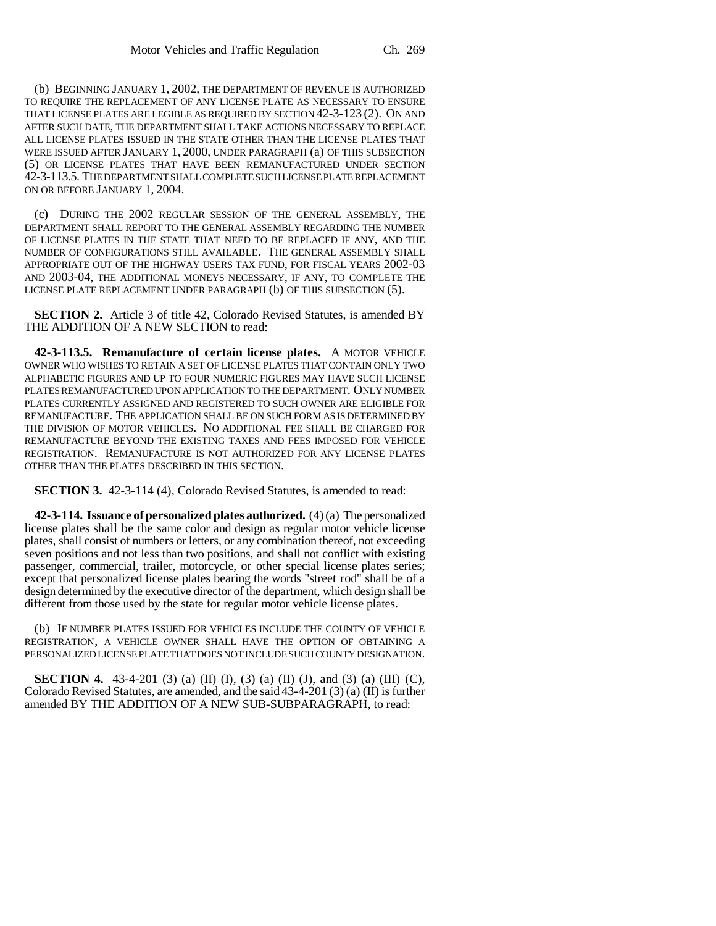(b) BEGINNING JANUARY 1, 2002, THE DEPARTMENT OF REVENUE IS AUTHORIZED TO REQUIRE THE REPLACEMENT OF ANY LICENSE PLATE AS NECESSARY TO ENSURE THAT LICENSE PLATES ARE LEGIBLE AS REQUIRED BY SECTION 42-3-123 (2). ON AND AFTER SUCH DATE, THE DEPARTMENT SHALL TAKE ACTIONS NECESSARY TO REPLACE ALL LICENSE PLATES ISSUED IN THE STATE OTHER THAN THE LICENSE PLATES THAT WERE ISSUED AFTER JANUARY 1, 2000, UNDER PARAGRAPH (a) OF THIS SUBSECTION (5) OR LICENSE PLATES THAT HAVE BEEN REMANUFACTURED UNDER SECTION 42-3-113.5. THE DEPARTMENT SHALL COMPLETE SUCH LICENSE PLATE REPLACEMENT ON OR BEFORE JANUARY 1, 2004.

(c) DURING THE 2002 REGULAR SESSION OF THE GENERAL ASSEMBLY, THE DEPARTMENT SHALL REPORT TO THE GENERAL ASSEMBLY REGARDING THE NUMBER OF LICENSE PLATES IN THE STATE THAT NEED TO BE REPLACED IF ANY, AND THE NUMBER OF CONFIGURATIONS STILL AVAILABLE. THE GENERAL ASSEMBLY SHALL APPROPRIATE OUT OF THE HIGHWAY USERS TAX FUND, FOR FISCAL YEARS 2002-03 AND 2003-04, THE ADDITIONAL MONEYS NECESSARY, IF ANY, TO COMPLETE THE LICENSE PLATE REPLACEMENT UNDER PARAGRAPH (b) OF THIS SUBSECTION (5).

**SECTION 2.** Article 3 of title 42, Colorado Revised Statutes, is amended BY THE ADDITION OF A NEW SECTION to read:

**42-3-113.5. Remanufacture of certain license plates.** A MOTOR VEHICLE OWNER WHO WISHES TO RETAIN A SET OF LICENSE PLATES THAT CONTAIN ONLY TWO ALPHABETIC FIGURES AND UP TO FOUR NUMERIC FIGURES MAY HAVE SUCH LICENSE PLATES REMANUFACTURED UPON APPLICATION TO THE DEPARTMENT. ONLY NUMBER PLATES CURRENTLY ASSIGNED AND REGISTERED TO SUCH OWNER ARE ELIGIBLE FOR REMANUFACTURE. THE APPLICATION SHALL BE ON SUCH FORM AS IS DETERMINED BY THE DIVISION OF MOTOR VEHICLES. NO ADDITIONAL FEE SHALL BE CHARGED FOR REMANUFACTURE BEYOND THE EXISTING TAXES AND FEES IMPOSED FOR VEHICLE REGISTRATION. REMANUFACTURE IS NOT AUTHORIZED FOR ANY LICENSE PLATES OTHER THAN THE PLATES DESCRIBED IN THIS SECTION.

**SECTION 3.** 42-3-114 (4), Colorado Revised Statutes, is amended to read:

**42-3-114. Issuance of personalized plates authorized.** (4) (a) The personalized license plates shall be the same color and design as regular motor vehicle license plates, shall consist of numbers or letters, or any combination thereof, not exceeding seven positions and not less than two positions, and shall not conflict with existing passenger, commercial, trailer, motorcycle, or other special license plates series; except that personalized license plates bearing the words "street rod" shall be of a design determined by the executive director of the department, which design shall be different from those used by the state for regular motor vehicle license plates.

(b) IF NUMBER PLATES ISSUED FOR VEHICLES INCLUDE THE COUNTY OF VEHICLE REGISTRATION, A VEHICLE OWNER SHALL HAVE THE OPTION OF OBTAINING A PERSONALIZED LICENSE PLATE THAT DOES NOT INCLUDE SUCH COUNTY DESIGNATION.

**SECTION 4.** 43-4-201 (3) (a) (II) (I), (3) (a) (II) (J), and (3) (a) (III) (C), Colorado Revised Statutes, are amended, and the said 43-4-201 (3) (a) (II) is further amended BY THE ADDITION OF A NEW SUB-SUBPARAGRAPH, to read: